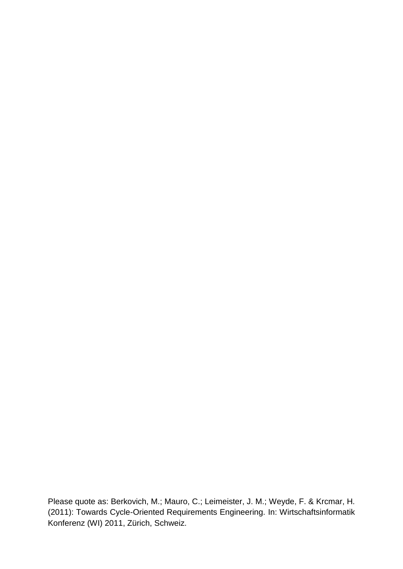Please quote as: Berkovich, M.; Mauro, C.; Leimeister, J. M.; Weyde, F. & Krcmar, H. (2011): Towards Cycle-Oriented Requirements Engineering. In: Wirtschaftsinformatik Konferenz (WI) 2011, Zürich, Schweiz.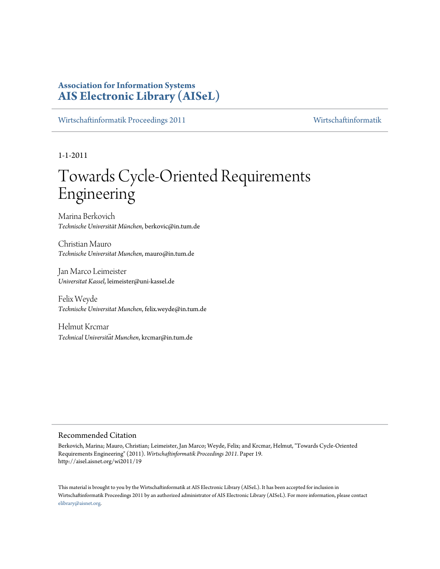# **Association for Information Systems [AIS Electronic Library \(AISeL\)](http://aisel.aisnet.org)**

[Wirtschaftinformatik Proceedings 2011](http://aisel.aisnet.org/wi2011) [Wirtschaftinformatik](http://aisel.aisnet.org/wi)

1-1-2011

# Towards Cycle-Oriented Requirements Engineering

Marina Berkovich *Technische Universität München*, berkovic@in.tum.de

Christian Mauro *Technische Universitat Munchen*, mauro@in.tum.de

Jan Marco Leimeister *Universitat Kassel*, leimeister@uni-kassel.de

Felix Weyde *Technische Universitat Munchen*, felix.weyde@in.tum.de

Helmut Krcmar *Technical Universität Munchen*, krcmar@in.tum.de

#### Recommended Citation

Berkovich, Marina; Mauro, Christian; Leimeister, Jan Marco; Weyde, Felix; and Krcmar, Helmut, "Towards Cycle-Oriented Requirements Engineering" (2011). *Wirtschaftinformatik Proceedings 2011.* Paper 19. http://aisel.aisnet.org/wi2011/19

This material is brought to you by the Wirtschaftinformatik at AIS Electronic Library (AISeL). It has been accepted for inclusion in Wirtschaftinformatik Proceedings 2011 by an authorized administrator of AIS Electronic Library (AISeL). For more information, please contact [elibrary@aisnet.org.](mailto:elibrary@aisnet.org>)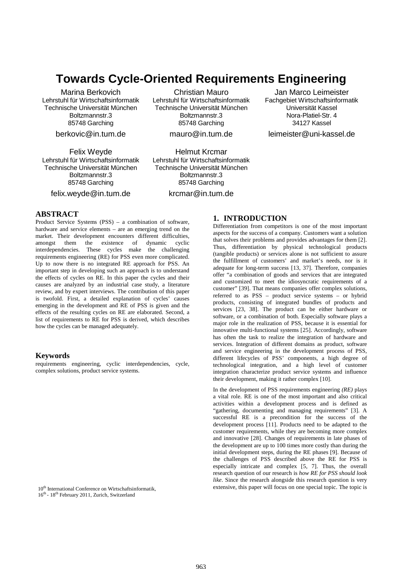# **Towards Cycle-Oriented Requirements Engineering**

Marina Berkovich Lehrstuhl für Wirtschaftsinformatik Technische Universität München Boltzmannstr.3 85748 Garching

berkovic@in.tum.de

Felix Weyde Lehrstuhl für Wirtschaftsinformatik Technische Universität München Boltzmannstr.3 85748 Garching

felix.weyde@in.tum.de

Christian Mauro Lehrstuhl für Wirtschaftsinformatik Technische Universität München Boltzmannstr.3 85748 Garching

mauro@in.tum.de

Helmut Krcmar Lehrstuhl für Wirtschaftsinformatik Technische Universität München Boltzmannstr.3 85748 Garching

krcmar@in.tum.de

#### **ABSTRACT**

Product Service Systems (PSS) – a combination of software, hardware and service elements – are an emerging trend on the market. Their development encounters different difficulties, amongst them the existence of dynamic cyclic interdependencies. These cycles make the challenging requirements engineering (RE) for PSS even more complicated. Up to now there is no integrated RE approach for PSS. An important step in developing such an approach is to understand the effects of cycles on RE. In this paper the cycles and their causes are analyzed by an industrial case study, a literature review, and by expert interviews. The contribution of this paper is twofold. First, a detailed explanation of cycles' causes emerging in the development and RE of PSS is given and the effects of the resulting cycles on RE are elaborated. Second, a list of requirements to RE for PSS is derived, which describes how the cycles can be managed adequately.

#### **Keywords**

requirements engineering, cyclic interdependencies, cycle, complex solutions, product service systems.

16<sup>th</sup> - 18<sup>th</sup> February 2011, Zurich, Switzerland

## **1. INTRODUCTION**

Differentiation from competitors is one of the most important aspects for the success of a company. Customers want a solution that solves their problems and provides advantages for them [2]. Thus, differentiation by physical technological products (tangible products) or services alone is not sufficient to assure the fulfillment of customers' and market's needs, nor is it adequate for long-term success [13, 37]. Therefore, companies offer "a combination of goods and services that are integrated and customized to meet the idiosyncratic requirements of a customer" [39]. That means companies offer complex solutions, referred to as PSS *–* product service systems – or hybrid products, consisting of integrated bundles of products and services [23, 38]. The product can be either hardware or software, or a combination of both. Especially software plays a major role in the realization of PSS, because it is essential for innovative multi-functional systems [25]. Accordingly, software has often the task to realize the integration of hardware and services. Integration of different domains as product, software and service engineering in the development process of PSS, different lifecycles of PSS' components, a high degree of technological integration, and a high level of customer integration characterize product service systems and influence their development, making it rather complex [10].

In the development of PSS requirements engineering *(RE)* plays a vital role. RE is one of the most important and also critical activities within a development process and is defined as "gathering, documenting and managing requirements" [3]. A successful RE is a precondition for the success of the development process [11]. Products need to be adapted to the customer requirements, while they are becoming more complex and innovative [28]. Changes of requirements in late phases of the development are up to 100 times more costly than during the initial development steps, during the RE phases [9]. Because of the challenges of PSS described above the RE for PSS is especially intricate and complex [5, 7]. Thus, the overall research question of our research is *how RE for PSS should look like*. Since the research alongside this research question is very 10<sup>th</sup> International Conference on Wirtschaftsinformatik, extensive, this paper will focus on one special topic. The topic is

Jan Marco Leimeister Fachgebiet Wirtschaftsinformatik Universität Kassel Nora-Platiel-Str. 4 34127 Kassel

leimeister@uni-kassel.de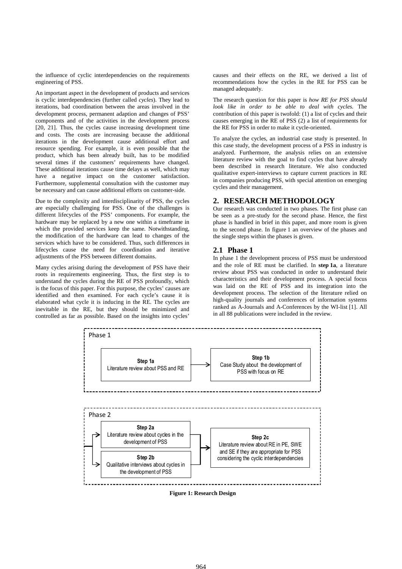the influence of cyclic interdependencies on the requirements engineering of PSS.

An important aspect in the development of products and services is cyclic interdependencies (further called *cycles*). They lead to iterations, bad coordination between the areas involved in the development process, permanent adaption and changes of PSS' components and of the activities in the development process [20, 21]. Thus, the cycles cause increasing development time and costs. The costs are increasing because the additional iterations in the development cause additional effort and resource spending. For example, it is even possible that the product, which has been already built, has to be modified several times if the customers' requirements have changed. These additional iterations cause time delays as well, which may have a negative impact on the customer satisfaction. Furthermore, supplemental consultation with the customer may be necessary and can cause additional efforts on customer-side.

Due to the complexity and interdisciplinarity of PSS, the cycles are especially challenging for PSS. One of the challenges is different lifecycles of the PSS' components. For example, the hardware may be replaced by a new one within a timeframe in which the provided services keep the same. Notwithstanding, the modification of the hardware can lead to changes of the services which have to be considered. Thus, such differences in lifecycles cause the need for coordination and iterative adjustments of the PSS between different domains.

Many cycles arising during the development of PSS have their roots in requirements engineering. Thus, the first step is to understand the cycles during the RE of PSS profoundly, which is the focus of this paper. For this purpose, the cycles' causes are identified and then examined. For each cycle's cause it is elaborated what cycle it is inducing in the RE. The cycles are inevitable in the RE, but they should be minimized and controlled as far as possible. Based on the insights into cycles'

causes and their effects on the RE, we derived a list of recommendations how the cycles in the RE for PSS can be managed adequately.

The research question for this paper is *how RE for PSS should look like in order to be able to deal with cycles.* The contribution of this paper is twofold: (1) a list of cycles and their causes emerging in the RE of PSS (2) a list of requirements for the RE for PSS in order to make it cycle-oriented.

To analyze the cycles, an industrial case study is presented. In this case study, the development process of a PSS in industry is analyzed. Furthermore, the analysis relies on an extensive literature review with the goal to find cycles that have already been described in research literature. We also conducted qualitative expert-interviews to capture current practices in RE in companies producing PSS, with special attention on emerging cycles and their management.

#### **2. RESEARCH METHODOLOGY**

Our research was conducted in two phases. The first phase can be seen as a pre-study for the second phase. Hence, the first phase is handled in brief in this paper, and more room is given to the second phase. In figure 1 an overview of the phases and the single steps within the phases is given.

#### **2.1 Phase 1**

In phase 1 the development process of PSS must be understood and the role of RE must be clarified. In **step 1a**, a literature review about PSS was conducted in order to understand their characteristics and their development process. A special focus was laid on the RE of PSS and its integration into the development process. The selection of the literature relied on high-quality journals and conferences of information systems ranked as A-Journals and A-Conferences by the WI-list [1]. All in all 88 publications were included in the review.



**Figure 1: Research Design**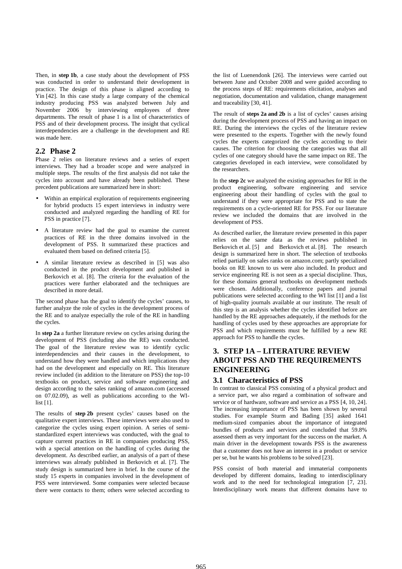Then, in **step 1b**, a case study about the development of PSS was conducted in order to understand their development in practice. The design of this phase is aligned according to Yin [42]. In this case study a large company of the chemical industry producing PSS was analyzed between July and November 2006 by interviewing employees of three departments. The result of phase 1 is a list of characteristics of PSS and of their development process. The insight that cyclical interdependencies are a challenge in the development and RE was made here.

#### **2.2 Phase 2**

Phase 2 relies on literature reviews and a series of expert interviews. They had a broader scope and were analyzed in multiple steps. The results of the first analysis did not take the cycles into account and have already been published. These precedent publications are summarized here in short:

- Within an empirical exploration of requirements engineering for hybrid products 15 expert interviews in industry were conducted and analyzed regarding the handling of RE for PSS in practice [7].
- A literature review had the goal to examine the current practices of RE in the three domains involved in the development of PSS. It summarized these practices and evaluated them based on defined criteria [5].
- A similar literature review as described in [5] was also conducted in the product development and published in Berkovich et al. [8]. The criteria for the evaluation of the practices were further elaborated and the techniques are described in more detail.

The second phase has the goal to identify the cycles' causes, to further analyze the role of cycles in the development process of the RE and to analyze especially the role of the RE in handling the cycles.

In **step 2a** a further literature review on cycles arising during the development of PSS (including also the RE) was conducted. The goal of the literature review was to identify cyclic interdependencies and their causes in the development, to understand how they were handled and which implications they had on the development and especially on RE. This literature review included (in addition to the literature on PSS) the top-10 textbooks on product, service and software engineering and design according to the sales ranking of amazon.com (accessed on 07.02.09), as well as publications according to the WIlist [1].

The results of **step 2b** present cycles' causes based on the qualitative expert interviews. These interviews were also used to categorize the cycles using expert opinion. A series of semistandardized expert interviews was conducted, with the goal to capture current practices in RE in companies producing PSS, with a special attention on the handling of cycles during the development. As described earlier, an analysis of a part of these interviews was already published in Berkovich et al. [7]. The study design is summarized here in brief. In the course of the study 15 experts in companies involved in the development of PSS were interviewed. Some companies were selected because there were contacts to them; others were selected according to

the list of Luenendonk [26]. The interviews were carried out between June and October 2008 and were guided according to the process steps of RE: requirements elicitation, analyses and negotiation, documentation and validation, change management and traceability [30, 41].

The result of **steps 2a and 2b** is a list of cycles' causes arising during the development process of PSS and having an impact on RE. During the interviews the cycles of the literature review were presented to the experts. Together with the newly found cycles the experts categorized the cycles according to their causes. The criterion for choosing the categories was that all cycles of one category should have the same impact on RE. The categories developed in each interview, were consolidated by the researchers.

In the **step 2c** we analyzed the existing approaches for RE in the product engineering, software engineering and service engineering about their handling of cycles with the goal to understand if they were appropriate for PSS and to state the requirements on a cycle-oriented RE for PSS. For our literature review we included the domains that are involved in the development of PSS.

As described earlier, the literature review presented in this paper relies on the same data as the reviews published in Berkovich et al. [5] and Berkovich et al. [8]. The research design is summarized here in short. The selection of textbooks relied partially on sales ranks on amazon.com; partly specialized books on RE known to us were also included. In product and service engineering RE is not seen as a special discipline. Thus, for these domains general textbooks on development methods were chosen. Additionally, conference papers and journal publications were selected according to the WI list [1] and a list of high-quality journals available at our institute. The result of this step is an analysis whether the cycles identified before are handled by the RE approaches adequately, if the methods for the handling of cycles used by these approaches are appropriate for PSS and which requirements must be fulfilled by a new RE approach for PSS to handle the cycles.

# **3. STEP 1A – LITERATURE REVIEW ABOUT PSS AND THE REQUIREMENTS ENGINEERING**

#### **3.1 Characteristics of PSS**

In contrast to classical PSS consisting of a physical product and a service part, we also regard a combination of software and service or of hardware, software and service as a PSS [4, 10, 24]. The increasing importance of PSS has been shown by several studies. For example Sturm and Bading [35] asked 1641 medium-sized companies about the importance of integrated bundles of products and services and concluded that 59.8% assessed them as very important for the success on the market. A main driver in the development towards PSS is the awareness that a customer does not have an interest in a product or service per se, but he wants his problems to be solved [23].

PSS consist of both material and immaterial components developed by different domains, leading to interdisciplinary work and to the need for technological integration [7, 23]. Interdisciplinary work means that different domains have to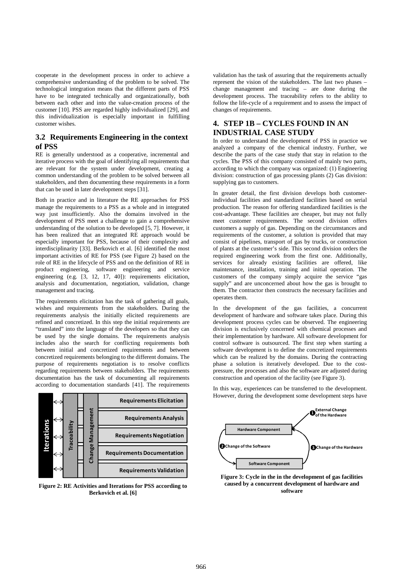cooperate in the development process in order to achieve a comprehensive understanding of the problem to be solved. The technological integration means that the different parts of PSS have to be integrated technically and organizationally, both between each other and into the value-creation process of the customer [10]. PSS are regarded highly individualized [29], and this individualization is especially important in fulfilling customer wishes.

### **3.2 Requirements Engineering in the context of PSS**

RE is generally understood as a cooperative, incremental and iterative process with the goal of identifying all requirements that are relevant for the system under development, creating a common understanding of the problem to be solved between all stakeholders, and then documenting these requirements in a form that can be used in later development steps [31].

Both in practice and in literature the RE approaches for PSS manage the requirements to a PSS as a whole and in integrated way just insufficiently. Also the domains involved in the development of PSS meet a challenge to gain a comprehensive understanding of the solution to be developed [5, 7]. However, it has been realized that an integrated RE approach would be especially important for PSS, because of their complexity and interdisciplinarity [33]. Berkovich et al. [6] identified the most important activities of RE for PSS (see Figure 2) based on the role of RE in the lifecycle of PSS and on the definition of RE in product engineering, software engineering and service engineering (e.g. [3, 12, 17, 40]): requirements elicitation, analysis and documentation, negotiation, validation, change management and tracing.

The requirements elicitation has the task of gathering all goals, wishes and requirements from the stakeholders. During the requirements analysis the initially elicited requirements are refined and concretized. In this step the initial requirements are "translated" into the language of the developers so that they can be used by the single domains. The requirements analysis includes also the search for conflicting requirements both between initial and concretized requirements and between concretized requirements belonging to the different domains. The purpose of requirements negotiation is to resolve conflicts regarding requirements between stakeholders. The requirements documentation has the task of documenting all requirements according to documentation standards [41]. The requirements



**Figure 2: RE Activities and Iterations for PSS according to Berkovich et al. [6]**

validation has the task of assuring that the requirements actually represent the vision of the stakeholders. The last two phases – change management and tracing – are done during the development process. The traceability refers to the ability to follow the life-cycle of a requirement and to assess the impact of changes of requirements.

# **4. STEP 1B – CYCLES FOUND IN AN INDUSTRIAL CASE STUDY**

In order to understand the development of PSS in practice we analyzed a company of the chemical industry. Further, we describe the parts of the case study that stay in relation to the cycles. The PSS of this company consisted of mainly two parts, according to which the company was organized: (1) Engineering division: construction of gas processing plants (2) Gas division: supplying gas to customers.

In greater detail, the first division develops both customerindividual facilities and standardized facilities based on serial production. The reason for offering standardized facilities is the cost-advantage. These facilities are cheaper, but may not fully meet customer requirements. The second division offers customers a supply of gas. Depending on the circumstances and requirements of the customer, a solution is provided that may consist of pipelines, transport of gas by trucks, or construction of plants at the customer's side. This second division orders the required engineering work from the first one. Additionally, services for already existing facilities are offered, like maintenance, installation, training and initial operation. The customers of the company simply acquire the service "gas supply" and are unconcerned about how the gas is brought to them. The contractor then constructs the necessary facilities and operates them.

In the development of the gas facilities, a concurrent development of hardware and software takes place. During this development process cycles can be observed. The engineering division is exclusively concerned with chemical processes and their implementation by hardware. All software development for control software is outsourced. The first step when starting a software development is to define the concretized requirements which can be realized by the domains. During the contracting phase a solution is iteratively developed. Due to the costpressure, the processes and also the software are adjusted during construction and operation of the facility (see Figure 3).

In this way, experiences can be transferred to the development. However, during the development some development steps have



**Figure 3: Cycle in the in the development of gas facilities caused by a concurrent development of hardware and software**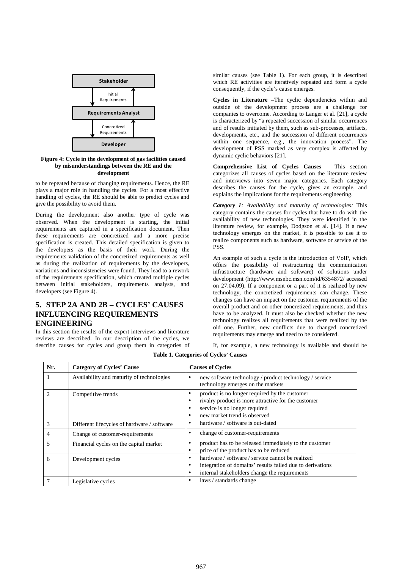

#### **Figure 4: Cycle in the development of gas facilities caused by misunderstandings between the RE and the development**

to be repeated because of changing requirements. Hence, the RE plays a major role in handling the cycles. For a most effective handling of cycles, the RE should be able to predict cycles and give the possibility to avoid them.

During the development also another type of cycle was observed. When the development is starting, the initial requirements are captured in a specification document. Then these requirements are concretized and a more precise specification is created. This detailed specification is given to the developers as the basis of their work. During the requirements validation of the concretized requirements as well as during the realization of requirements by the developers, variations and inconsistencies were found. They lead to a rework of the requirements specification, which created multiple cycles between initial stakeholders, requirements analysts, and developers (see Figure 4).

# **5. STEP 2A AND 2B – CYCLES' CAUSES INFLUENCING REQUIREMENTS ENGINEERING**

In this section the results of the expert interviews and literature reviews are described. In our description of the cycles, we describe causes for cycles and group them in categories of similar causes (see Table 1). For each group, it is described which RE activities are iteratively repeated and form a cycle consequently, if the cycle's cause emerges.

**Cycles in Literature** –The cyclic dependencies within and outside of the development process are a challenge for companies to overcome. According to Langer et al. [21], a cycle is characterized by "a repeated succession of similar occurrences and of results initiated by them, such as sub-processes, artifacts, developments, etc., and the succession of different occurrences within one sequence, e.g., the innovation process". The development of PSS marked as very complex is affected by dynamic cyclic behaviors [21].

**Comprehensive List of Cycles Causes** – This section categorizes all causes of cycles based on the literature review and interviews into seven major categories. Each category describes the causes for the cycle, gives an example, and explains the implications for the requirements engineering.

*Category 1: Availability and maturity of technologies:* This category contains the causes for cycles that have to do with the availability of new technologies. They were identified in the literature review, for example, Dodgson et al. [14]. If a new technology emerges on the market, it is possible to use it to realize components such as hardware, software or service of the PSS.

An example of such a cycle is the introduction of VoIP, which offers the possibility of restructuring the communication infrastructure (hardware and software) of solutions under development (http://www.msnbc.msn.com/id/6354872/ accessed on 27.04.09). If a component or a part of it is realized by new technology, the concretized requirements can change. These changes can have an impact on the customer requirements of the overall product and on other concretized requirements, and thus have to be analyzed. It must also be checked whether the new technology realizes all requirements that were realized by the old one. Further, new conflicts due to changed concretized requirements may emerge and need to be considered.

If, for example, a new technology is available and should be

| Nr. | <b>Category of Cycles' Cause</b>            | <b>Causes of Cycles</b>                                                                                                                                                                         |  |
|-----|---------------------------------------------|-------------------------------------------------------------------------------------------------------------------------------------------------------------------------------------------------|--|
|     | Availability and maturity of technologies   | new software technology / product technology / service<br>٠<br>technology emerges on the markets                                                                                                |  |
|     | Competitive trends                          | product is no longer required by the customer<br>$\bullet$<br>rivalry product is more attractive for the customer<br>$\bullet$<br>service is no longer required<br>new market trend is observed |  |
| 3   | Different lifecycles of hardware / software | hardware / software is out-dated<br>٠                                                                                                                                                           |  |
| 4   | Change of customer-requirements             | change of customer-requirements<br>$\bullet$                                                                                                                                                    |  |
| 5   | Financial cycles on the capital market      | product has to be released immediately to the customer<br>price of the product has to be reduced                                                                                                |  |
| 6   | Development cycles                          | hardware / software / service cannot be realized<br>integration of domains' results failed due to derivations<br>internal stakeholders change the requirements                                  |  |
|     | Legislative cycles                          | laws / standards change                                                                                                                                                                         |  |

**Table 1. Categories of Cycles' Causes**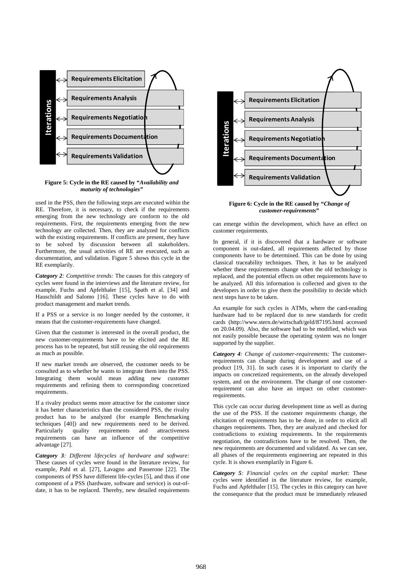

**Figure 5: Cycle in the RE caused by "***Availability and maturity of technologies"*

used in the PSS, then the following steps are executed within the RE. Therefore, it is necessary, to check if the requirements emerging from the new technology are conform to the old requirements. First, the requirements emerging from the new technology are collected. Then, they are analyzed for conflicts with the existing requirements. If conflicts are present, they have to be solved by discussion between all stakeholders. Furthermore, the usual activities of RE are executed, such as documentation, and validation. Figure 5 shows this cycle in the RE exemplarily.

*Category 2: Competitive trends:* The causes for this category of cycles were found in the interviews and the literature review, for example, Fuchs and Apfelthaler [15], Spath et al. [34] and Hauschildt and Salomo [16]. These cycles have to do with product management and market trends.

If a PSS or a service is no longer needed by the customer, it means that the customer-requirements have changed.

Given that the customer is interested in the overall product, the new customer-requirements have to be elicited and the RE process has to be repeated, but still reusing the old requirements as much as possible.

If new market trends are observed, the customer needs to be consulted as to whether he wants to integrate them into the PSS. Integrating them would mean adding new customer requirements and refining them to corresponding concretized requirements.

If a rivalry product seems more attractive for the customer since it has better characteristics than the considered PSS, the rivalry product has to be analyzed (for example Benchmarking techniques [40]) and new requirements need to be derived. Particularly quality requirements and attractiveness requirements can have an influence of the competitive advantage [27].

*Category 3: Different lifecycles of hardware and software:* These causes of cycles were found in the literature review, for example, Pahl et al. [27], Lavagno and Passerone [22]. The components of PSS have different life-cycles [5], and thus if one component of a PSS (hardware, software and service) is out-ofdate, it has to be replaced. Thereby, new detailed requirements



**Figure 6: Cycle in the RE caused by "***Change of customer-requirements***"** 

can emerge within the development, which have an effect on customer requirements.

In general, if it is discovered that a hardware or software component is out-dated, all requirements affected by those components have to be determined. This can be done by using classical traceability techniques. Then, it has to be analyzed whether these requirements change when the old technology is replaced, and the potential effects on other requirements have to be analyzed. All this information is collected and given to the developers in order to give them the possibility to decide which next steps have to be taken.

An example for such cycles is ATMs, where the card-reading hardware had to be replaced due to new standards for credit cards (http://www.stern.de/wirtschaft/geld/87195.html accessed on 20.04.09). Also, the software had to be modified, which was not easily possible because the operating system was no longer supported by the supplier.

*Category 4: Change of customer-requirements:* The customerrequirements can change during development and use of a product [19, 31]. In such cases it is important to clarify the impacts on concretized requirements, on the already developed system, and on the environment. The change of one customerrequirement can also have an impact on other customerrequirements.

This cycle can occur during development time as well as during the use of the PSS. If the customer requirements change, the elicitation of requirements has to be done, in order to elicit all changes requirements. Then, they are analyzed and checked for contradictions to existing requirements. In the requirements negotiation, the contradictions have to be resolved. Then, the new requirements are documented and validated. As we can see, all phases of the requirements engineering are repeated in this cycle. It is shown exemplarily in Figure 6.

*Category 5: Financial cycles on the capital market:* These cycles were identified in the literature review, for example, Fuchs and Apfelthaler [15]. The cycles in this category can have the consequence that the product must be immediately released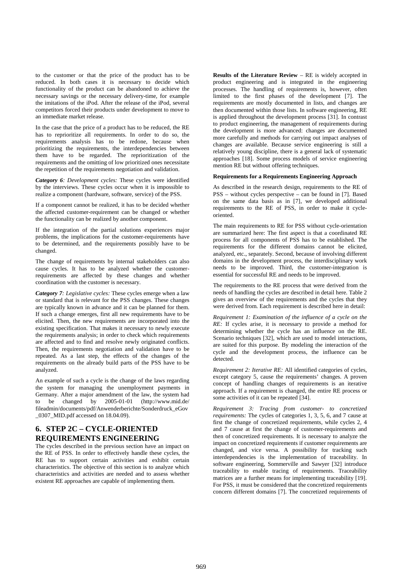to the customer or that the price of the product has to be reduced. In both cases it is necessary to decide which functionality of the product can be abandoned to achieve the necessary savings or the necessary delivery-time, for example the imitations of the iPod. After the release of the iPod, several competitors forced their products under development to move to an immediate market release.

In the case that the price of a product has to be reduced, the RE has to reprioritize all requirements. In order to do so, the requirements analysis has to be redone, because when prioritizing the requirements, the interdependencies between them have to be regarded. The reprioritization of the requirements and the omitting of low prioritized ones necessitate the repetition of the requirements negotiation and validation.

*Category 6: Development cycles:* These cycles were identified by the interviews. These cycles occur when it is impossible to realize a component (hardware, software, service) of the PSS.

If a component cannot be realized, it has to be decided whether the affected customer-requirement can be changed or whether the functionality can be realized by another component.

If the integration of the partial solutions experiences major problems, the implications for the customer-requirements have to be determined, and the requirements possibly have to be changed.

The change of requirements by internal stakeholders can also cause cycles. It has to be analyzed whether the customerrequirements are affected by these changes and whether coordination with the customer is necessary.

*Category 7: Legislative cycles:* These cycles emerge when a law or standard that is relevant for the PSS changes. These changes are typically known in advance and it can be planned for them. If such a change emerges, first all new requirements have to be elicited. Then, the new requirements are incorporated into the existing specification. That makes it necessary to newly execute the requirements analysis; in order to check which requirements are affected and to find and resolve newly originated conflicts. Then, the requirements negotiation and validation have to be repeated. As a last step, the effects of the changes of the requirements on the already build parts of the PSS have to be analyzed.

An example of such a cycle is the change of the laws regarding the system for managing the unemployment payments in Germany. After a major amendment of the law, the system had to be changed by 2005-01-01 (http://www.mid.de/ fileadmin/documents/pdf/Anwenderberichte/Sonderdruck\_eGov \_0307\_MID.pdf accessed on 18.04.09).

# **6. STEP 2C – CYCLE-ORIENTED REQUIREMENTS ENGINEERING**

The cycles described in the previous section have an impact on the RE of PSS. In order to effectively handle these cycles, the RE has to support certain activities and exhibit certain characteristics. The objective of this section is to analyze which characteristics and activities are needed and to assess whether existent RE approaches are capable of implementing them.

**Results of the Literature Review** – RE is widely accepted in product engineering and is integrated in the engineering processes. The handling of requirements is, however, often limited to the first phases of the development [7]. The requirements are mostly documented in lists, and changes are then documented within those lists. In software engineering, RE is applied throughout the development process [31]. In contrast to product engineering, the management of requirements during the development is more advanced: changes are documented more carefully and methods for carrying out impact analyses of changes are available. Because service engineering is still a relatively young discipline, there is a general lack of systematic approaches [18]. Some process models of service engineering mention RE but without offering techniques.

#### **Requirements for a Requirements Engineering Approach**

As described in the research design, requirements to the RE of PSS – without cycles perspective – can be found in [7]. Based on the same data basis as in [7], we developed additional requirements to the RE of PSS, in order to make it cycleoriented.

The main requirements to RE for PSS without cycle-orientation are summarized here: The first aspect is that a coordinated RE process for all components of PSS has to be established. The requirements for the different domains cannot be elicited, analyzed, etc., separately. Second, because of involving different domains in the development process, the interdisciplinary work needs to be improved. Third, the customer-integration is essential for successful RE and needs to be improved.

The requirements to the RE process that were derived from the needs of handling the cycles are described in detail here. Table 2 gives an overview of the requirements and the cycles that they were derived from. Each requirement is described here in detail:

*Requirement 1: Examination of the influence of a cycle on the RE:* If cycles arise, it is necessary to provide a method for determining whether the cycle has an influence on the RE. Scenario techniques [32], which are used to model interactions, are suited for this purpose. By modeling the interaction of the cycle and the development process, the influence can be detected.

*Requirement 2: Iterative RE:* All identified categories of cycles, except category 5, cause the requirements' changes. A proven concept of handling changes of requirements is an iterative approach. If a requirement is changed, the entire RE process or some activities of it can be repeated [34].

*Requirement 3: Tracing from customer- to concretized requirements:* The cycles of categories 1, 3, 5, 6, and 7 cause at first the change of concretized requirements, while cycles 2, 4 and 7 cause at first the change of customer-requirements and then of concretized requirements. It is necessary to analyze the impact on concretized requirements if customer requirements are changed, and vice versa. A possibility for tracking such interdependencies is the implementation of traceability. In software engineering, Sommerville and Sawyer [32] introduce traceability to enable tracing of requirements. Traceability matrices are a further means for implementing traceability [19]. For PSS, it must be considered that the concretized requirements concern different domains [7]. The concretized requirements of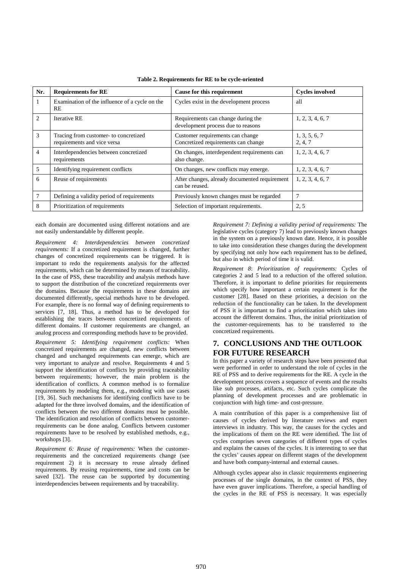| Nr.                | <b>Requirements for RE</b>                                           | <b>Cause for this requirement</b>                                        | <b>Cycles involved</b>   |
|--------------------|----------------------------------------------------------------------|--------------------------------------------------------------------------|--------------------------|
|                    | Examination of the influence of a cycle on the<br>RE                 | Cycles exist in the development process                                  | all                      |
| $\mathfrak{D}_{1}$ | <b>Iterative RE</b>                                                  | Requirements can change during the<br>development process due to reasons | 1, 2, 3, 4, 6, 7         |
| 3                  | Tracing from customer- to concretized<br>requirements and vice versa | Customer requirements can change<br>Concretized requirements can change  | 1, 3, 5, 6, 7<br>2, 4, 7 |
| 4                  | Interdependencies between concretized<br>requirements                | On changes, interdependent requirements can<br>also change.              | 1, 2, 3, 4, 6, 7         |
| 5                  | Identifying requirement conflicts                                    | On changes, new conflicts may emerge.                                    | 1, 2, 3, 4, 6, 7         |
| 6                  | Reuse of requirements                                                | After changes, already documented requirement<br>can be reused.          | 1, 2, 3, 4, 6, 7         |
|                    | Defining a validity period of requirements                           | Previously known changes must be regarded                                | 7                        |
| 8                  | Prioritization of requirements                                       | Selection of important requirements.                                     | 2, 5                     |

**Table 2. Requirements for RE to be cycle-oriented** 

each domain are documented using different notations and are not easily understandable by different people.

*Requirement 4: Interdependencies between concretized requirements:* If a concretized requirement is changed, further changes of concretized requirements can be triggered. It is important to redo the requirements analysis for the affected requirements, which can be determined by means of traceability. In the case of PSS, these traceability and analysis methods have to support the distribution of the concretized requirements over the domains. Because the requirements in these domains are documented differently, special methods have to be developed. For example, there is no formal way of defining requirements to services [7, 18]. Thus, a method has to be developed for establishing the traces between concretized requirements of different domains. If customer requirements are changed, an analog process and corresponding methods have to be provided.

*Requirement 5: Identifying requirement conflicts:* When concretized requirements are changed, new conflicts between changed and unchanged requirements can emerge, which are very important to analyze and resolve. Requirements 4 and 5 support the identification of conflicts by providing traceability between requirements; however, the main problem is the identification of conflicts. A common method is to formalize requirements by modeling them, e.g., modeling with use cases [19, 36]. Such mechanisms for identifying conflicts have to be adapted for the three involved domains, and the identification of conflicts between the two different domains must be possible. The identification and resolution of conflicts between customerrequirements can be done analog. Conflicts between customer requirements have to be resolved by established methods, e.g., workshops [3].

*Requirement 6: Reuse of requirements:* When the customerrequirements and the concretized requirements change (see requirement 2) it is necessary to reuse already defined requirements. By reusing requirements, time and costs can be saved [32]. The reuse can be supported by documenting interdependencies between requirements and by traceability.

*Requirement 7: Defining a validity period of requirements:* The legislative cycles (category 7) lead to previously known changes in the system on a previously known date. Hence, it is possible to take into consideration these changes during the development by specifying not only how each requirement has to be defined, but also in which period of time it is valid.

*Requirement 8*: *Prioritization of requirements:* Cycles of categories 2 and 5 lead to a reduction of the offered solution. Therefore, it is important to define priorities for requirements which specify how important a certain requirement is for the customer [28]. Based on these priorities, a decision on the reduction of the functionality can be taken. In the development of PSS it is important to find a prioritization which takes into account the different domains. Thus, the initial prioritization of the customer-requirements has to be transferred to the concretized requirements.

# **7. CONCLUSIONS AND THE OUTLOOK FOR FUTURE RESEARCH**

In this paper a variety of research steps have been presented that were performed in order to understand the role of cycles in the RE of PSS and to derive requirements for the RE. A cycle in the development process covers a sequence of events and the results like sub processes, artifacts, etc. Such cycles complicate the planning of development processes and are problematic in conjunction with high time- and cost-pressure.

A main contribution of this paper is a comprehensive list of causes of cycles derived by literature reviews and expert interviews in industry. This way, the causes for the cycles and the implications of them on the RE were identified. The list of cycles comprises seven categories of different types of cycles and explains the causes of the cycles. It is interesting to see that the cycles' causes appear on different stages of the development and have both company-internal and external causes.

Although cycles appear also in classic requirements engineering processes of the single domains, in the context of PSS, they have even graver implications. Therefore, a special handling of the cycles in the RE of PSS is necessary. It was especially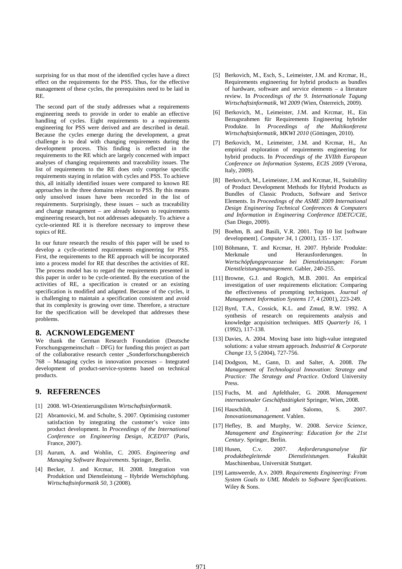surprising for us that most of the identified cycles have a direct effect on the requirements for the PSS. Thus, for the effective management of these cycles, the prerequisites need to be laid in RE.

The second part of the study addresses what a requirements engineering needs to provide in order to enable an effective handling of cycles. Eight requirements to a requirements engineering for PSS were derived and are described in detail. Because the cycles emerge during the development, a great challenge is to deal with changing requirements during the development process. This finding is reflected in the requirements to the RE which are largely concerned with impact analyses of changing requirements and traceability issues. The list of requirements to the RE does only comprise specific requirements staying in relation with cycles and PSS. To achieve this, all initially identified issues were compared to known RE approaches in the three domains relevant to PSS. By this means only unsolved issues have been recorded in the list of requirements. Surprisingly, these issues – such as traceability and change management – are already known to requirements engineering research, but not addresses adequately. To achieve a cycle-oriented RE it is therefore necessary to improve these topics of RE.

In our future research the results of this paper will be used to develop a cycle-oriented requirements engineering for PSS. First, the requirements to the RE approach will be incorporated into a process model for RE that describes the activities of RE. The process model has to regard the requirements presented in this paper in order to be cycle-oriented. By the execution of the activities of RE, a specification is created or an existing specification is modified and adapted. Because of the cycles, it is challenging to maintain a specification consistent and avoid that its complexity is growing over time. Therefore, a structure for the specification will be developed that addresses these problems.

#### **8. ACKNOWLEDGEMENT**

We thank the German Research Foundation (Deutsche Forschungsgemeinschaft – DFG) for funding this project as part of the collaborative research center "Sonderforschungsbereich 768 – Managing cycles in innovation processes – Integrated development of product-service-systems based on technical products.

#### **9. REFERENCES**

- [1] 2008. WI-Orientierungslisten *Wirtschaftsinformatik*.
- [2] Abramovici, M. and Schulte, S. 2007. Optimising customer satisfaction by integrating the customer's voice into product development. In *Proceedings of the International Conference on Engineering Design, ICED'07* (Paris, France, 2007).
- [3] Aurum, A. and Wohlin, C. 2005. *Engineering and Managing Software Requirements.* Springer, Berlin.
- [4] Becker, J. and Krcmar, H. 2008. Integration von Produktion und Dienstleistung – Hybride Wertschöpfung. *Wirtschaftsinformatik 50*, 3 (2008).
- [5] Berkovich, M., Esch, S., Leimeister, J.M. and Krcmar, H., Requirements engineering for hybrid products as bundles of hardware, software and service elements – a literature review. In *Proceedings of the 9. Internationale Tagung Wirtschaftsinformatik, WI 2009* (Wien, Österreich, 2009).
- [6] Berkovich, M., Leimeister, J.M. and Krcmar, H., Ein Bezugsrahmen für Requirements Engineering hybrider Produkte. In *Proceedings of the Multikonferenz Wirtschaftsinformatik, MKWI 2010* (Göttingen, 2010).
- [7] Berkovich, M., Leimeister, J.M. and Krcmar, H., An empirical exploration of requirements engineering for hybrid products. In *Proceedings of the XVIIth European Conference on Information Systems, ECIS 2009* (Verona, Italy, 2009).
- [8] Berkovich, M., Leimeister, J.M. and Krcmar, H., Suitability of Product Development Methods for Hybrid Products as Bundles of Classic Products, Software and Serivce Elements. In *Proceedings of the ASME 2009 International Design Engineering Technical Conferences & Computers and Information in Engineering Conference IDETC/CIE*, (San Diego, 2009).
- [9] Boehm, B. and Basili, V.R. 2001. Top 10 list [software development]. *Computer 34,* 1 (2001), 135 - 137.
- [10] Böhmann, T. and Krcmar, H. 2007. Hybride Produkte: Merkmale und Herausforderungen. In *Wertschöpfungsprozesse bei Dienstleistungen: Forum Dienstleistungsmanagement*. Gabler, 240-255.
- [11] Browne, G.J. and Rogich, M.B. 2001. An empirical investigation of user requirements elicitation: Comparing the effectiveness of prompting techniques. *Journal of Management Information Systems 17,* 4 (2001), 223-249.
- [12] Byrd, T.A., Cossick, K.L. and Zmud, R.W. 1992. A synthesis of research on requirements analysis and knowledge acquisition techniques. *MIS Quarterly 16,* 1 (1992), 117-138.
- [13] Davies, A. 2004. Moving base into high-value integrated solutions: a value stream approach. *Industrial & Corporate Change 13,* 5 (2004), 727-756.
- [14] Dodgson, M., Gann, D. and Salter, A. 2008. *The Management of Technological Innovation: Strategy and Practice: The Strategy and Practice*. Oxford University Press.
- [15] Fuchs, M. and Apfelthaler, G. 2008. *Management internationaler Geschäftstätigkeit* Springer, Wien, 2008.
- [16] Hauschildt, J. and Salomo, S. 2007. *Innovationsmanagement*. Vahlen.
- [17] Hefley, B. and Murphy, W. 2008. *Service Science, Management and Engineering: Education for the 21st Century*. Springer, Berlin.
- [18] Husen, C.v. 2007. *Anforderungsanalyse für produktbegleitende Dienstleistungen.* Fakultät Maschinenbau, Universität Stuttgart.
- [19] Lamsweerde, A.v. 2009. *Requirements Engineering: From System Goals to UML Models to Software Specifications*. Wiley & Sons.